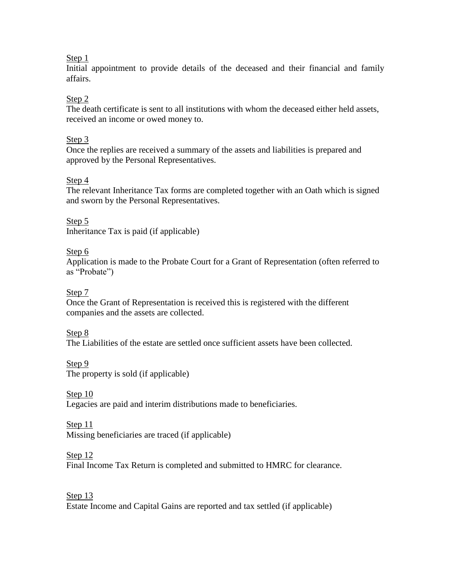### Step 1

Initial appointment to provide details of the deceased and their financial and family affairs.

# Step 2

The death certificate is sent to all institutions with whom the deceased either held assets, received an income or owed money to.

### Step 3

Once the replies are received a summary of the assets and liabilities is prepared and approved by the Personal Representatives.

## Step 4

The relevant Inheritance Tax forms are completed together with an Oath which is signed and sworn by the Personal Representatives.

Step 5 Inheritance Tax is paid (if applicable)

## Step 6

Application is made to the Probate Court for a Grant of Representation (often referred to as "Probate")

## Step 7

Once the Grant of Representation is received this is registered with the different companies and the assets are collected.

#### Step 8

The Liabilities of the estate are settled once sufficient assets have been collected.

Step 9

The property is sold (if applicable)

# Step 10

Legacies are paid and interim distributions made to beneficiaries.

#### Step 11

Missing beneficiaries are traced (if applicable)

#### Step 12

Final Income Tax Return is completed and submitted to HMRC for clearance.

## Step 13

Estate Income and Capital Gains are reported and tax settled (if applicable)